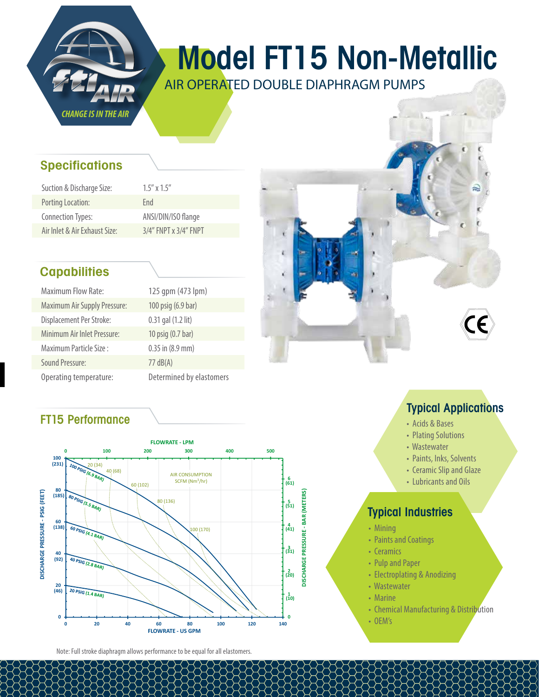

# Model FT15 Non-Metallic

AIR OPERATED DOUBLE DIAPHRAGM PUMPS

## **Specifications**

| Suction & Discharge Size:     | $1.5''$ x $1.5''$           |
|-------------------------------|-----------------------------|
| Porting Location:             | Fnd                         |
| Connection Types:             | ANSI/DIN/ISO flange         |
| Air Inlet & Air Exhaust Size: | $3/4''$ FNPT x $3/4''$ FNPT |

## **Capabilities**

| <b>Maximum Flow Rate:</b>           | 125 gpm (473       |
|-------------------------------------|--------------------|
| <b>Maximum Air Supply Pressure:</b> | 100 psig (6.9 ba   |
| Displacement Per Stroke:            | 0.31 gal (1.2 lit) |
| Minimum Air Inlet Pressure:         | 10 psig (0.7 bar)  |
| Maximum Particle Size:              | 0.35 in (8.9 mm)   |
| <b>Sound Pressure:</b>              | $77 \text{ dB}(A)$ |
| Operating temperature:              | Determined by      |

 $(473$  lpm)  $5.9$  bar)  $9$  mm) ed by elastomers

## FT15 Performance



Note: Full stroke diaphragm allows performance to be equal for all elastomers.



## Typical Applications

- Acids & Bases
- Plating Solutions
- Wastewater
- Paints, Inks, Solvents
- Ceramic Slip and Glaze
- Lubricants and Oils

- Mining
- Paints and Coatings
- Ceramics
- Pulp and Paper
- Electroplating & Anodizing
- Wastewater
- Marine
- Chemical Manufacturing & Distribution
- OEM's